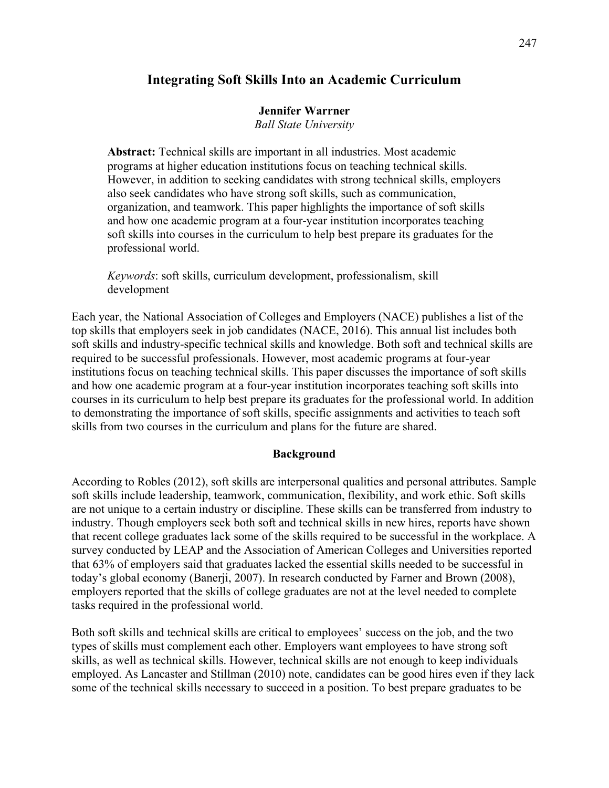# **Integrating Soft Skills Into an Academic Curriculum**

### **Jennifer Warrner**

*Ball State University*

**Abstract:** Technical skills are important in all industries. Most academic programs at higher education institutions focus on teaching technical skills. However, in addition to seeking candidates with strong technical skills, employers also seek candidates who have strong soft skills, such as communication, organization, and teamwork. This paper highlights the importance of soft skills and how one academic program at a four-year institution incorporates teaching soft skills into courses in the curriculum to help best prepare its graduates for the professional world.

*Keywords*: soft skills, curriculum development, professionalism, skill development

Each year, the National Association of Colleges and Employers (NACE) publishes a list of the top skills that employers seek in job candidates (NACE, 2016). This annual list includes both soft skills and industry-specific technical skills and knowledge. Both soft and technical skills are required to be successful professionals. However, most academic programs at four-year institutions focus on teaching technical skills. This paper discusses the importance of soft skills and how one academic program at a four-year institution incorporates teaching soft skills into courses in its curriculum to help best prepare its graduates for the professional world. In addition to demonstrating the importance of soft skills, specific assignments and activities to teach soft skills from two courses in the curriculum and plans for the future are shared.

#### **Background**

According to Robles (2012), soft skills are interpersonal qualities and personal attributes. Sample soft skills include leadership, teamwork, communication, flexibility, and work ethic. Soft skills are not unique to a certain industry or discipline. These skills can be transferred from industry to industry. Though employers seek both soft and technical skills in new hires, reports have shown that recent college graduates lack some of the skills required to be successful in the workplace. A survey conducted by LEAP and the Association of American Colleges and Universities reported that 63% of employers said that graduates lacked the essential skills needed to be successful in today's global economy (Banerji, 2007). In research conducted by Farner and Brown (2008), employers reported that the skills of college graduates are not at the level needed to complete tasks required in the professional world.

Both soft skills and technical skills are critical to employees' success on the job, and the two types of skills must complement each other. Employers want employees to have strong soft skills, as well as technical skills. However, technical skills are not enough to keep individuals employed. As Lancaster and Stillman (2010) note, candidates can be good hires even if they lack some of the technical skills necessary to succeed in a position. To best prepare graduates to be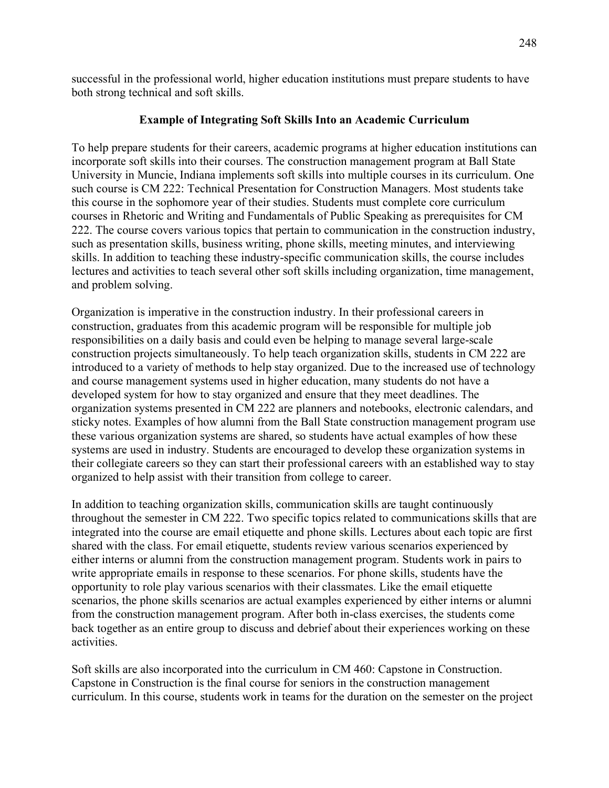successful in the professional world, higher education institutions must prepare students to have both strong technical and soft skills.

## **Example of Integrating Soft Skills Into an Academic Curriculum**

To help prepare students for their careers, academic programs at higher education institutions can incorporate soft skills into their courses. The construction management program at Ball State University in Muncie, Indiana implements soft skills into multiple courses in its curriculum. One such course is CM 222: Technical Presentation for Construction Managers. Most students take this course in the sophomore year of their studies. Students must complete core curriculum courses in Rhetoric and Writing and Fundamentals of Public Speaking as prerequisites for CM 222. The course covers various topics that pertain to communication in the construction industry, such as presentation skills, business writing, phone skills, meeting minutes, and interviewing skills. In addition to teaching these industry-specific communication skills, the course includes lectures and activities to teach several other soft skills including organization, time management, and problem solving.

Organization is imperative in the construction industry. In their professional careers in construction, graduates from this academic program will be responsible for multiple job responsibilities on a daily basis and could even be helping to manage several large-scale construction projects simultaneously. To help teach organization skills, students in CM 222 are introduced to a variety of methods to help stay organized. Due to the increased use of technology and course management systems used in higher education, many students do not have a developed system for how to stay organized and ensure that they meet deadlines. The organization systems presented in CM 222 are planners and notebooks, electronic calendars, and sticky notes. Examples of how alumni from the Ball State construction management program use these various organization systems are shared, so students have actual examples of how these systems are used in industry. Students are encouraged to develop these organization systems in their collegiate careers so they can start their professional careers with an established way to stay organized to help assist with their transition from college to career.

In addition to teaching organization skills, communication skills are taught continuously throughout the semester in CM 222. Two specific topics related to communications skills that are integrated into the course are email etiquette and phone skills. Lectures about each topic are first shared with the class. For email etiquette, students review various scenarios experienced by either interns or alumni from the construction management program. Students work in pairs to write appropriate emails in response to these scenarios. For phone skills, students have the opportunity to role play various scenarios with their classmates. Like the email etiquette scenarios, the phone skills scenarios are actual examples experienced by either interns or alumni from the construction management program. After both in-class exercises, the students come back together as an entire group to discuss and debrief about their experiences working on these activities.

Soft skills are also incorporated into the curriculum in CM 460: Capstone in Construction. Capstone in Construction is the final course for seniors in the construction management curriculum. In this course, students work in teams for the duration on the semester on the project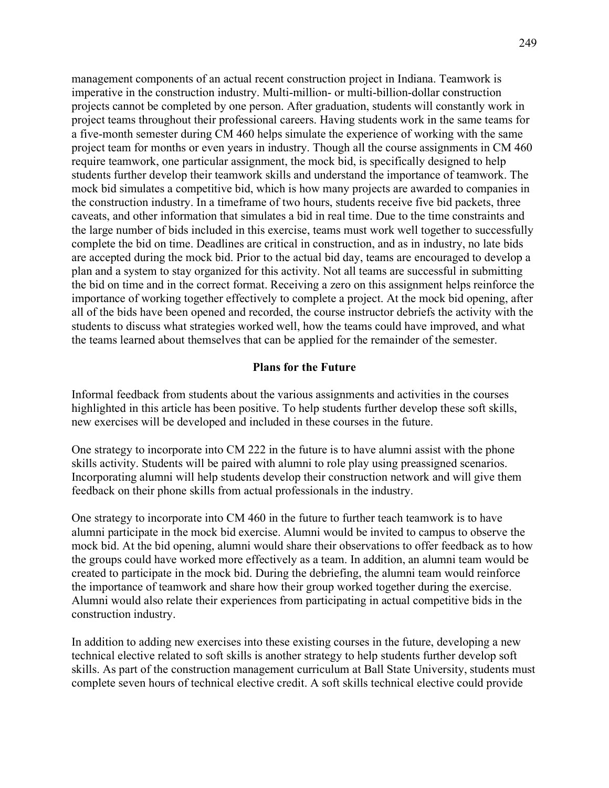management components of an actual recent construction project in Indiana. Teamwork is imperative in the construction industry. Multi-million- or multi-billion-dollar construction projects cannot be completed by one person. After graduation, students will constantly work in project teams throughout their professional careers. Having students work in the same teams for a five-month semester during CM 460 helps simulate the experience of working with the same project team for months or even years in industry. Though all the course assignments in CM 460 require teamwork, one particular assignment, the mock bid, is specifically designed to help students further develop their teamwork skills and understand the importance of teamwork. The mock bid simulates a competitive bid, which is how many projects are awarded to companies in the construction industry. In a timeframe of two hours, students receive five bid packets, three caveats, and other information that simulates a bid in real time. Due to the time constraints and the large number of bids included in this exercise, teams must work well together to successfully complete the bid on time. Deadlines are critical in construction, and as in industry, no late bids are accepted during the mock bid. Prior to the actual bid day, teams are encouraged to develop a plan and a system to stay organized for this activity. Not all teams are successful in submitting the bid on time and in the correct format. Receiving a zero on this assignment helps reinforce the importance of working together effectively to complete a project. At the mock bid opening, after all of the bids have been opened and recorded, the course instructor debriefs the activity with the students to discuss what strategies worked well, how the teams could have improved, and what the teams learned about themselves that can be applied for the remainder of the semester.

### **Plans for the Future**

Informal feedback from students about the various assignments and activities in the courses highlighted in this article has been positive. To help students further develop these soft skills, new exercises will be developed and included in these courses in the future.

One strategy to incorporate into CM 222 in the future is to have alumni assist with the phone skills activity. Students will be paired with alumni to role play using preassigned scenarios. Incorporating alumni will help students develop their construction network and will give them feedback on their phone skills from actual professionals in the industry.

One strategy to incorporate into CM 460 in the future to further teach teamwork is to have alumni participate in the mock bid exercise. Alumni would be invited to campus to observe the mock bid. At the bid opening, alumni would share their observations to offer feedback as to how the groups could have worked more effectively as a team. In addition, an alumni team would be created to participate in the mock bid. During the debriefing, the alumni team would reinforce the importance of teamwork and share how their group worked together during the exercise. Alumni would also relate their experiences from participating in actual competitive bids in the construction industry.

In addition to adding new exercises into these existing courses in the future, developing a new technical elective related to soft skills is another strategy to help students further develop soft skills. As part of the construction management curriculum at Ball State University, students must complete seven hours of technical elective credit. A soft skills technical elective could provide